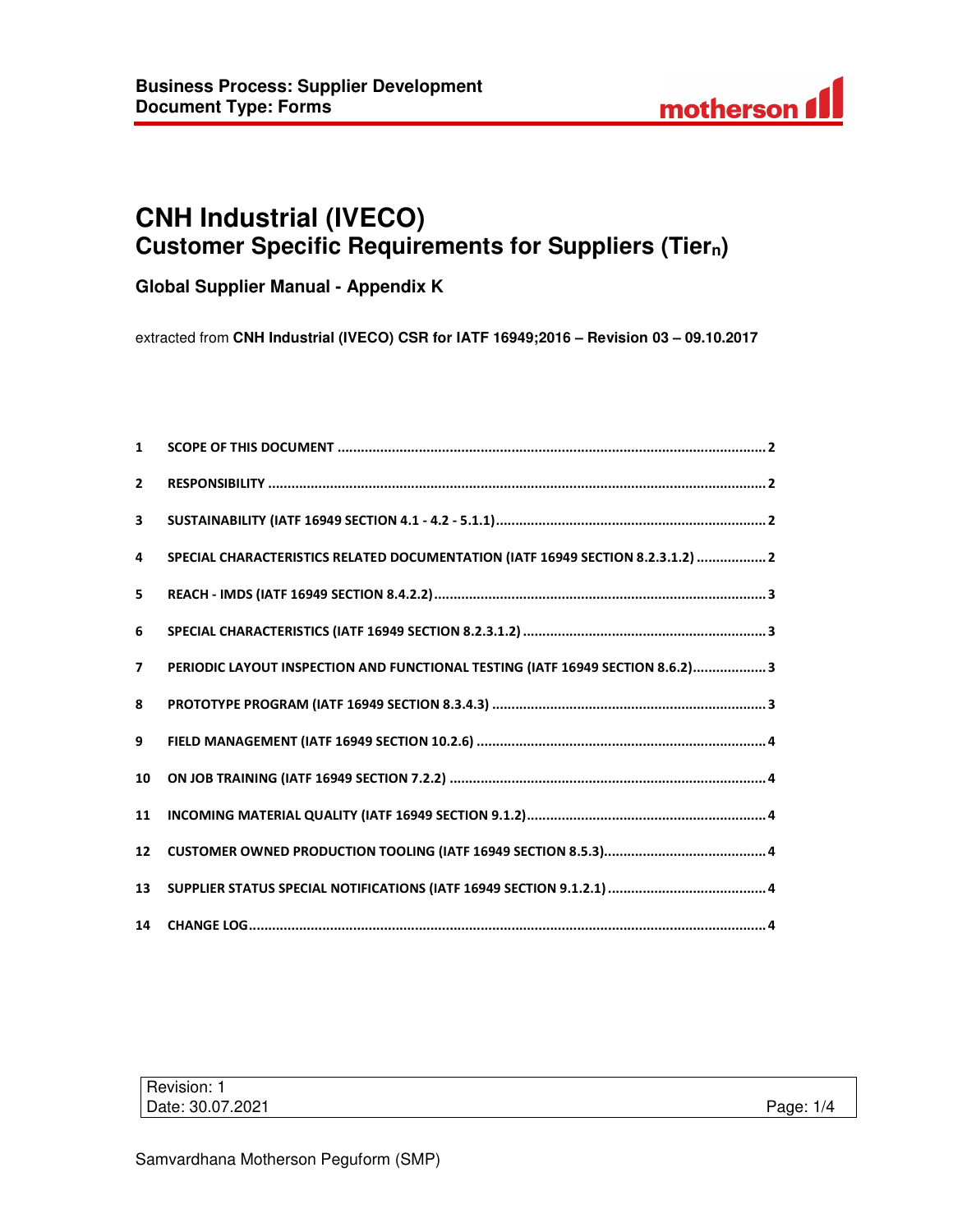

# **CNH Industrial (IVECO) Customer Specific Requirements for Suppliers (Tiern)**

**Global Supplier Manual - Appendix K** 

extracted from **CNH Industrial (IVECO) CSR for IATF 16949;2016 – Revision 03 – 09.10.2017** 

| $\mathbf{1}$            |                                                                                 |
|-------------------------|---------------------------------------------------------------------------------|
| $\overline{2}$          |                                                                                 |
| $\overline{\mathbf{3}}$ |                                                                                 |
| $\overline{a}$          | SPECIAL CHARACTERISTICS RELATED DOCUMENTATION (IATF 16949 SECTION 8.2.3.1.2)  2 |
| 5                       |                                                                                 |
| 6                       |                                                                                 |
| $\overline{7}$          | PERIODIC LAYOUT INSPECTION AND FUNCTIONAL TESTING (IATF 16949 SECTION 8.6.2) 3  |
| 8                       |                                                                                 |
| 9                       |                                                                                 |
| 10                      |                                                                                 |
| 11                      |                                                                                 |
| 12                      |                                                                                 |
| 13                      |                                                                                 |
|                         |                                                                                 |

| Revision: 1      |           |
|------------------|-----------|
| Date: 30.07.2021 | Page: 1/4 |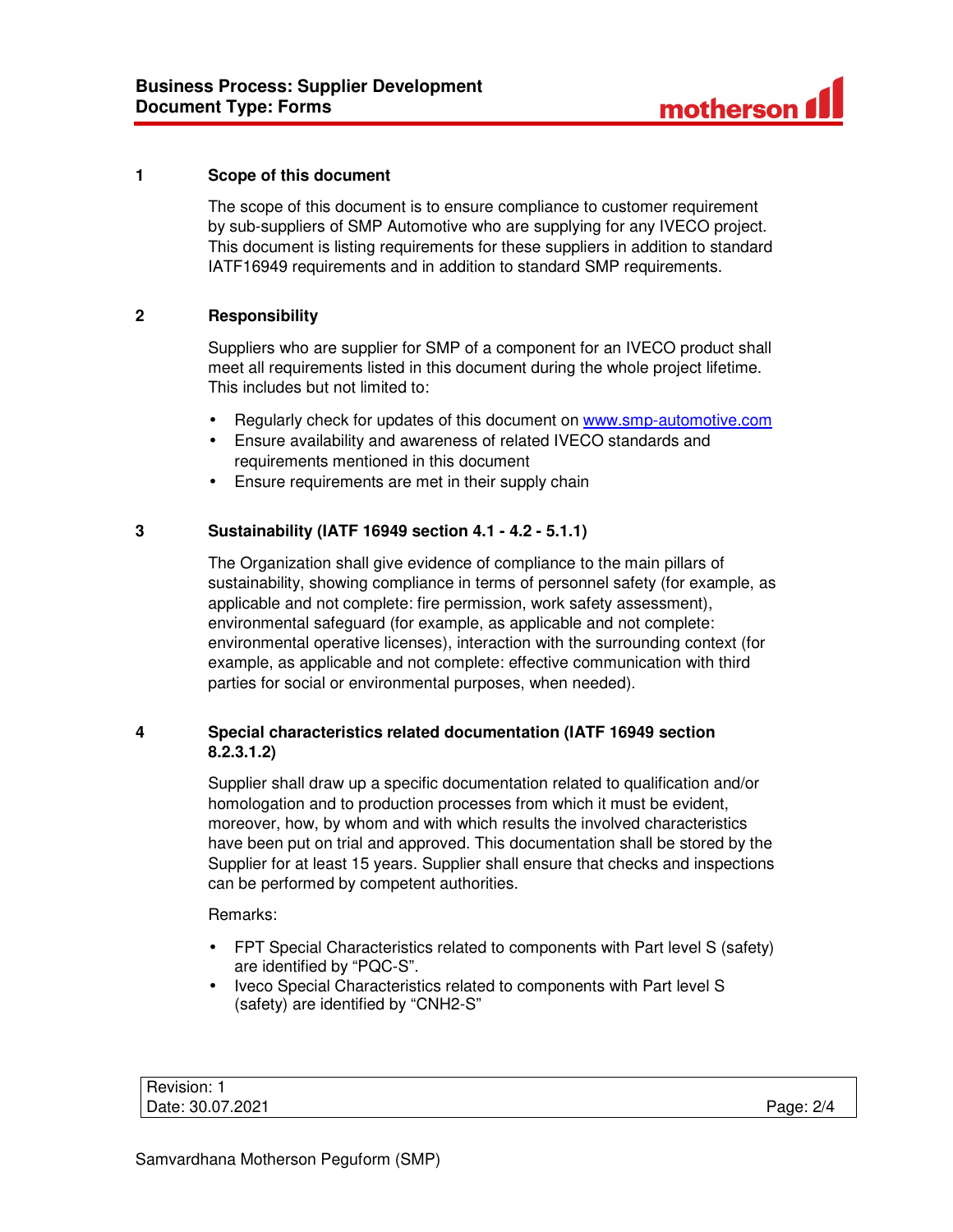

## **1 Scope of this document**

The scope of this document is to ensure compliance to customer requirement by sub-suppliers of SMP Automotive who are supplying for any IVECO project. This document is listing requirements for these suppliers in addition to standard IATF16949 requirements and in addition to standard SMP requirements.

# **2 Responsibility**

Suppliers who are supplier for SMP of a component for an IVECO product shall meet all requirements listed in this document during the whole project lifetime. This includes but not limited to:

- Regularly check for updates of this document on www.smp-automotive.com
- Ensure availability and awareness of related IVECO standards and requirements mentioned in this document
- Ensure requirements are met in their supply chain

# **3 Sustainability (IATF 16949 section 4.1 - 4.2 - 5.1.1)**

The Organization shall give evidence of compliance to the main pillars of sustainability, showing compliance in terms of personnel safety (for example, as applicable and not complete: fire permission, work safety assessment), environmental safeguard (for example, as applicable and not complete: environmental operative licenses), interaction with the surrounding context (for example, as applicable and not complete: effective communication with third parties for social or environmental purposes, when needed).

# **4 Special characteristics related documentation (IATF 16949 section 8.2.3.1.2)**

Supplier shall draw up a specific documentation related to qualification and/or homologation and to production processes from which it must be evident, moreover, how, by whom and with which results the involved characteristics have been put on trial and approved. This documentation shall be stored by the Supplier for at least 15 years. Supplier shall ensure that checks and inspections can be performed by competent authorities.

Remarks:

- FPT Special Characteristics related to components with Part level S (safety) are identified by "PQC-S".
- Iveco Special Characteristics related to components with Part level S (safety) are identified by "CNH2-S"

Revision: 1 Date: 30.07.2021 Page: 2/4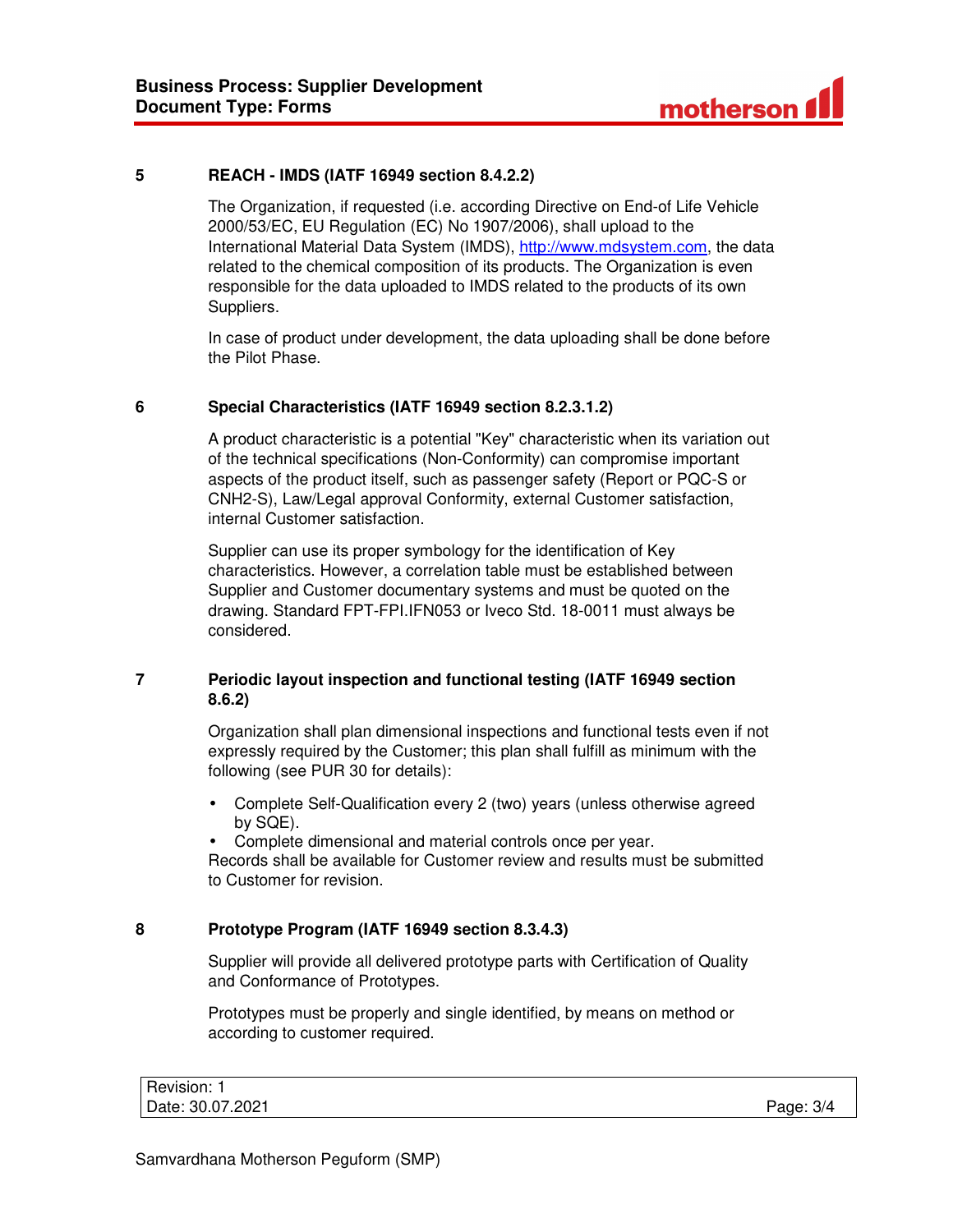

## **5 REACH - IMDS (IATF 16949 section 8.4.2.2)**

The Organization, if requested (i.e. according Directive on End-of Life Vehicle 2000/53/EC, EU Regulation (EC) No 1907/2006), shall upload to the International Material Data System (IMDS), http://www.mdsystem.com, the data related to the chemical composition of its products. The Organization is even responsible for the data uploaded to IMDS related to the products of its own Suppliers.

In case of product under development, the data uploading shall be done before the Pilot Phase.

## **6 Special Characteristics (IATF 16949 section 8.2.3.1.2)**

A product characteristic is a potential "Key" characteristic when its variation out of the technical specifications (Non-Conformity) can compromise important aspects of the product itself, such as passenger safety (Report or PQC-S or CNH2-S), Law/Legal approval Conformity, external Customer satisfaction, internal Customer satisfaction.

Supplier can use its proper symbology for the identification of Key characteristics. However, a correlation table must be established between Supplier and Customer documentary systems and must be quoted on the drawing. Standard FPT-FPI.IFN053 or Iveco Std. 18-0011 must always be considered.

# **7 Periodic layout inspection and functional testing (IATF 16949 section 8.6.2)**

Organization shall plan dimensional inspections and functional tests even if not expressly required by the Customer; this plan shall fulfill as minimum with the following (see PUR 30 for details):

• Complete Self-Qualification every 2 (two) years (unless otherwise agreed by SQE).

• Complete dimensional and material controls once per year.

Records shall be available for Customer review and results must be submitted to Customer for revision.

#### **8 Prototype Program (IATF 16949 section 8.3.4.3)**

Supplier will provide all delivered prototype parts with Certification of Quality and Conformance of Prototypes.

Prototypes must be properly and single identified, by means on method or according to customer required.

| Revision: 1      |           |
|------------------|-----------|
| Date: 30.07.2021 | Page: 3/4 |